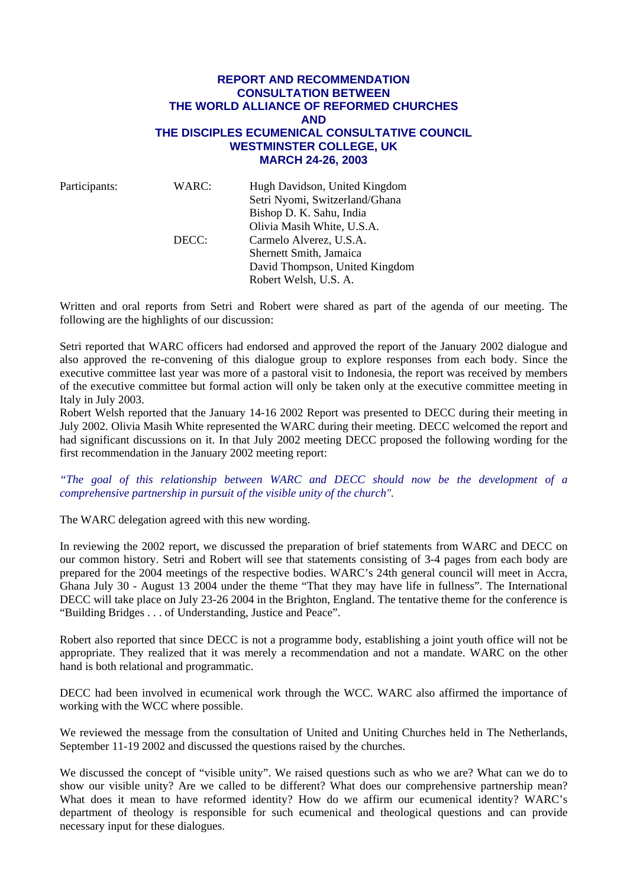## **REPORT AND RECOMMENDATION CONSULTATION BETWEEN THE WORLD ALLIANCE OF REFORMED CHURCHES AND THE DISCIPLES ECUMENICAL CONSULTATIVE COUNCIL WESTMINSTER COLLEGE, UK MARCH 24-26, 2003**

| Participants: | WARC: | Hugh Davidson, United Kingdom<br>Setri Nyomi, Switzerland/Ghana<br>Bishop D. K. Sahu, India |
|---------------|-------|---------------------------------------------------------------------------------------------|
|               | DECC: | Olivia Masih White, U.S.A.<br>Carmelo Alverez, U.S.A.                                       |
|               |       | Shernett Smith, Jamaica<br>David Thompson, United Kingdom<br>Robert Welsh, U.S. A.          |

Written and oral reports from Setri and Robert were shared as part of the agenda of our meeting. The following are the highlights of our discussion:

Setri reported that WARC officers had endorsed and approved the report of the January 2002 dialogue and also approved the re-convening of this dialogue group to explore responses from each body. Since the executive committee last year was more of a pastoral visit to Indonesia, the report was received by members of the executive committee but formal action will only be taken only at the executive committee meeting in Italy in July 2003.

Robert Welsh reported that the January 14-16 2002 Report was presented to DECC during their meeting in July 2002. Olivia Masih White represented the WARC during their meeting. DECC welcomed the report and had significant discussions on it. In that July 2002 meeting DECC proposed the following wording for the first recommendation in the January 2002 meeting report:

*"The goal of this relationship between WARC and DECC should now be the development of a comprehensive partnership in pursuit of the visible unity of the church".* 

The WARC delegation agreed with this new wording.

In reviewing the 2002 report, we discussed the preparation of brief statements from WARC and DECC on our common history. Setri and Robert will see that statements consisting of 3-4 pages from each body are prepared for the 2004 meetings of the respective bodies. WARC's 24th general council will meet in Accra, Ghana July 30 - August 13 2004 under the theme "That they may have life in fullness". The International DECC will take place on July 23-26 2004 in the Brighton, England. The tentative theme for the conference is "Building Bridges . . . of Understanding, Justice and Peace".

Robert also reported that since DECC is not a programme body, establishing a joint youth office will not be appropriate. They realized that it was merely a recommendation and not a mandate. WARC on the other hand is both relational and programmatic.

DECC had been involved in ecumenical work through the WCC. WARC also affirmed the importance of working with the WCC where possible.

We reviewed the message from the consultation of United and Uniting Churches held in The Netherlands, September 11-19 2002 and discussed the questions raised by the churches.

We discussed the concept of "visible unity". We raised questions such as who we are? What can we do to show our visible unity? Are we called to be different? What does our comprehensive partnership mean? What does it mean to have reformed identity? How do we affirm our ecumenical identity? WARC's department of theology is responsible for such ecumenical and theological questions and can provide necessary input for these dialogues.